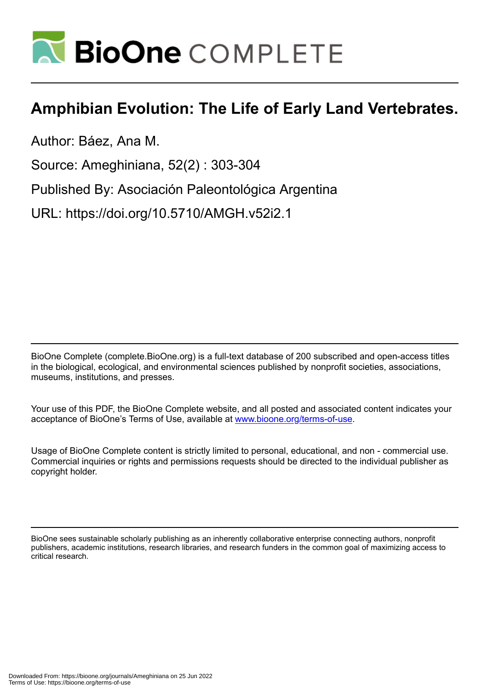

## **Amphibian Evolution: The Life of Early Land Vertebrates.**

Author: Báez, Ana M.

Source: Ameghiniana, 52(2) : 303-304

Published By: Asociación Paleontológica Argentina

URL: https://doi.org/10.5710/AMGH.v52i2.1

BioOne Complete (complete.BioOne.org) is a full-text database of 200 subscribed and open-access titles in the biological, ecological, and environmental sciences published by nonprofit societies, associations, museums, institutions, and presses.

Your use of this PDF, the BioOne Complete website, and all posted and associated content indicates your acceptance of BioOne's Terms of Use, available at www.bioone.org/terms-of-use.

Usage of BioOne Complete content is strictly limited to personal, educational, and non - commercial use. Commercial inquiries or rights and permissions requests should be directed to the individual publisher as copyright holder.

BioOne sees sustainable scholarly publishing as an inherently collaborative enterprise connecting authors, nonprofit publishers, academic institutions, research libraries, and research funders in the common goal of maximizing access to critical research.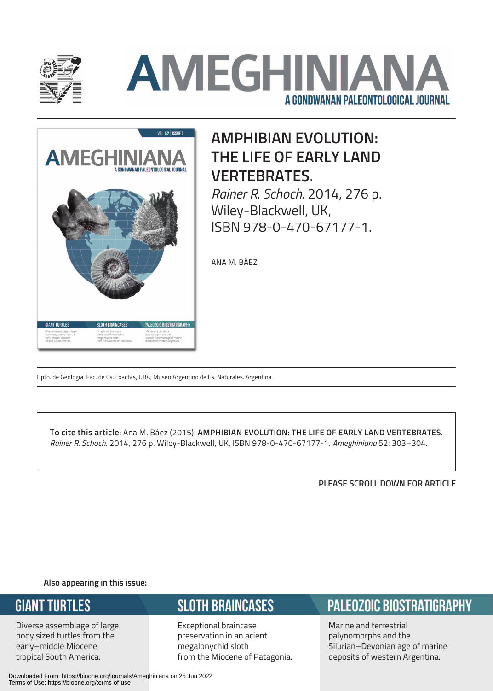

# **AMEGHINIAN** A GONDWANAN PALEONTOLOGICAL JOURNAL



# **AMPHIBIAN EVOLUTION: THE LIFE OF EARLY LAND VERTEBRATES**.

*Rainer R. Schoch*. 2014, 276 p. Wiley-Blackwell, UK, ISBN 978-0-470-67177-1.

ANA M. BÁEZ

Dpto. de Geología, Fac. de Cs. Exactas, UBA; Museo Argentino de Cs. Naturales. Argentina.

**To cite this article:** Ana M. Báez (2015). **AMPHIBIAN EVOLUTION: THE LIFE OF EARLY LAND VERTEBRATES**. *Rainer R. Schoch*. 2014, 276 p. Wiley-Blackwell, UK, ISBN 978-0-470-67177-1. *Ameghiniana* 52: 303–304.

#### **PLEASE SCROLL DOWN FOR ARTICLE**

**Also appearing in this issue:**

### **GIANT TURTLES**

Diverse assemblage of large body sized turtles from the early–middle Miocene tropical South America.

# **SLOTH BRAINCASES**

Exceptional braincase preservation in an acient megalonychid sloth from the Miocene of Patagonia.

### PALEOZOIC BIOSTRATIGRAPHY

Marine and terrestrial palynomorphs and the Silurian–Devonian age of marine deposits of western Argentina.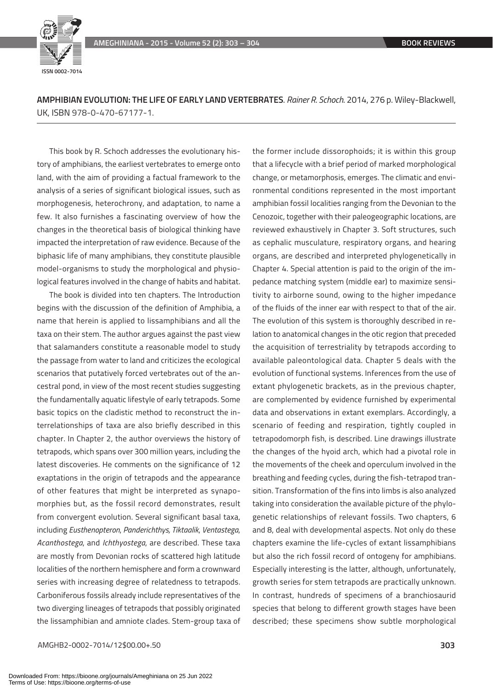

**AMPHIBIAN EVOLUTION: THE LIFE OF EARLY LAND VERTEBRATES**. *Rainer R. Schoch*. 2014, 276 p. Wiley-Blackwell, UK, ISBN 978-0-470-67177-1.

This book by R. Schoch addresses the evolutionary history of amphibians, the earliest vertebrates to emerge onto land, with the aim of providing a factual framework to the analysis of a series of significant biological issues, such as morphogenesis, heterochrony, and adaptation, to name a few. It also furnishes a fascinating overview of how the changes in the theoretical basis of biological thinking have impacted the interpretation of raw evidence. Because of the biphasic life of many amphibians, they constitute plausible model-organisms to study the morphological and physiological features involved in the change of habits and habitat.

The book is divided into ten chapters. The Introduction begins with the discussion of the definition of Amphibia, a name that herein is applied to lissamphibians and all the taxa on their stem. The author argues against the past view that salamanders constitute a reasonable model to study the passage from water to land and criticizes the ecological scenarios that putatively forced vertebrates out of the ancestral pond, in view of the most recent studies suggesting the fundamentally aquatic lifestyle of early tetrapods. Some basic topics on the cladistic method to reconstruct the interrelationships of taxa are also briefly described in this chapter. In Chapter 2, the author overviews the history of tetrapods, which spans over 300 million years, including the latest discoveries. He comments on the significance of 12 exaptations in the origin of tetrapods and the appearance of other features that might be interpreted as synapomorphies but, as the fossil record demonstrates, result from convergent evolution. Several significant basal taxa, including *Eusthenopteron*, *Panderichthys, Tiktaalik*, *Ventastega*, *Acanthostega*, and *Ichthyostega*, are described. These taxa are mostly from Devonian rocks of scattered high latitude localities of the northern hemisphere and form a crownward series with increasing degree of relatedness to tetrapods. Carboniferous fossils already include representatives of the two diverging lineages of tetrapods that possibly originated the lissamphibian and amniote clades. Stem-group taxa of

AMGHB2-0002-7014/12\$00.00+.50 **303**

the former include dissorophoids; it is within this group that a lifecycle with a brief period of marked morphological change, or metamorphosis, emerges. The climatic and environmental conditions represented in the most important amphibian fossil localities ranging from the Devonian to the Cenozoic, together with their paleogeographic locations, are reviewed exhaustively in Chapter 3. Soft structures, such as cephalic musculature, respiratory organs, and hearing organs, are described and interpreted phylogenetically in Chapter 4. Special attention is paid to the origin of the impedance matching system (middle ear) to maximize sensitivity to airborne sound, owing to the higher impedance of the fluids of the inner ear with respect to that of the air. The evolution of this system is thoroughly described in relation to anatomical changes in the otic region that preceded the acquisition of terrestriality by tetrapods according to available paleontological data. Chapter 5 deals with the evolution of functional systems. Inferences from the use of extant phylogenetic brackets, as in the previous chapter, are complemented by evidence furnished by experimental data and observations in extant exemplars. Accordingly, a scenario of feeding and respiration, tightly coupled in tetrapodomorph fish, is described. Line drawings illustrate the changes of the hyoid arch, which had a pivotal role in the movements of the cheek and operculum involved in the breathing and feeding cycles, during the fish-tetrapod transition. Transformation of the fins into limbs is also analyzed taking into consideration the available picture of the phylogenetic relationships of relevant fossils. Two chapters, 6 and 8, deal with developmental aspects. Not only do these chapters examine the life-cycles of extant lissamphibians but also the rich fossil record of ontogeny for amphibians. Especially interesting is the latter, although, unfortunately, growth series for stem tetrapods are practically unknown. In contrast, hundreds of specimens of a branchiosaurid species that belong to different growth stages have been described; these specimens show subtle morphological